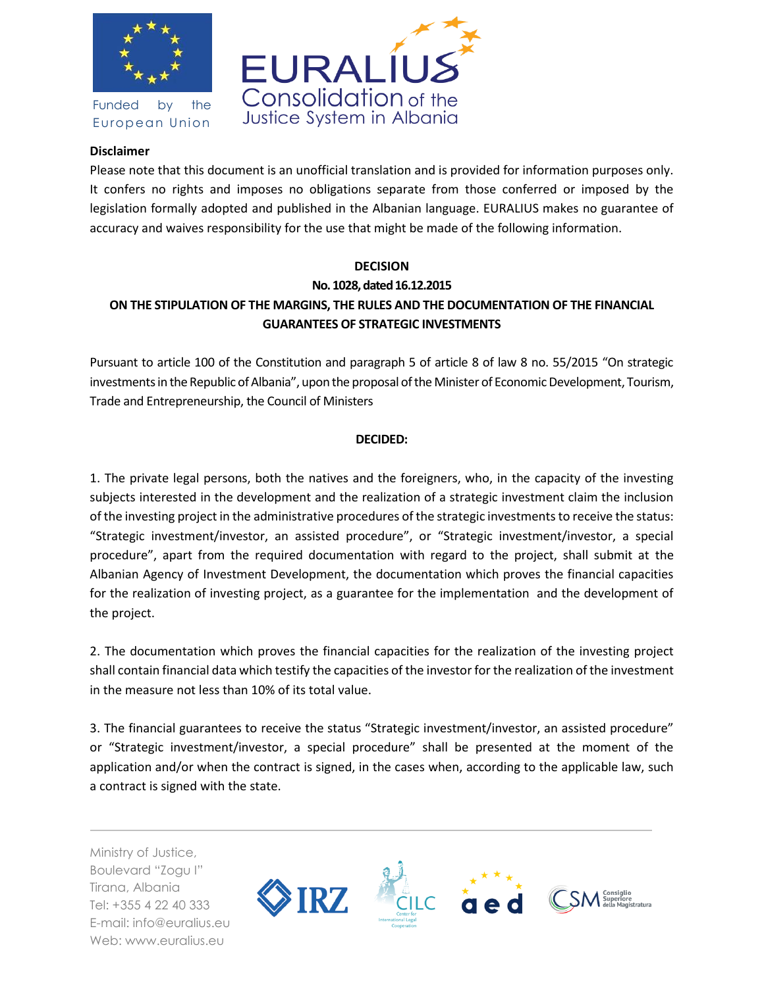

Funded by the European Union



## **Disclaimer**

Please note that this document is an unofficial translation and is provided for information purposes only. It confers no rights and imposes no obligations separate from those conferred or imposed by the legislation formally adopted and published in the Albanian language. EURALIUS makes no guarantee of accuracy and waives responsibility for the use that might be made of the following information.

## **DECISION No. 1028, dated 16.12.2015 ON THE STIPULATION OF THE MARGINS, THE RULES AND THE DOCUMENTATION OF THE FINANCIAL GUARANTEES OF STRATEGIC INVESTMENTS**

Pursuant to article 100 of the Constitution and paragraph 5 of article 8 of law 8 no. 55/2015 "On strategic investments in the Republic of Albania", upon the proposal of the Minister of Economic Development, Tourism, Trade and Entrepreneurship, the Council of Ministers

## **DECIDED:**

1. The private legal persons, both the natives and the foreigners, who, in the capacity of the investing subjects interested in the development and the realization of a strategic investment claim the inclusion of the investing project in the administrative procedures of the strategic investments to receive the status: "Strategic investment/investor, an assisted procedure", or "Strategic investment/investor, a special procedure", apart from the required documentation with regard to the project, shall submit at the Albanian Agency of Investment Development, the documentation which proves the financial capacities for the realization of investing project, as a guarantee for the implementation and the development of the project.

2. The documentation which proves the financial capacities for the realization of the investing project shall contain financial data which testify the capacities of the investor for the realization of the investment in the measure not less than 10% of its total value.

3. The financial guarantees to receive the status "Strategic investment/investor, an assisted procedure" or "Strategic investment/investor, a special procedure" shall be presented at the moment of the application and/or when the contract is signed, in the cases when, according to the applicable law, such a contract is signed with the state.

Ministry of Justice, Boulevard "Zogu I" Tirana, Albania Tel: +355 4 22 40 333 E-mail: info@euralius.eu Web: www.euralius.eu

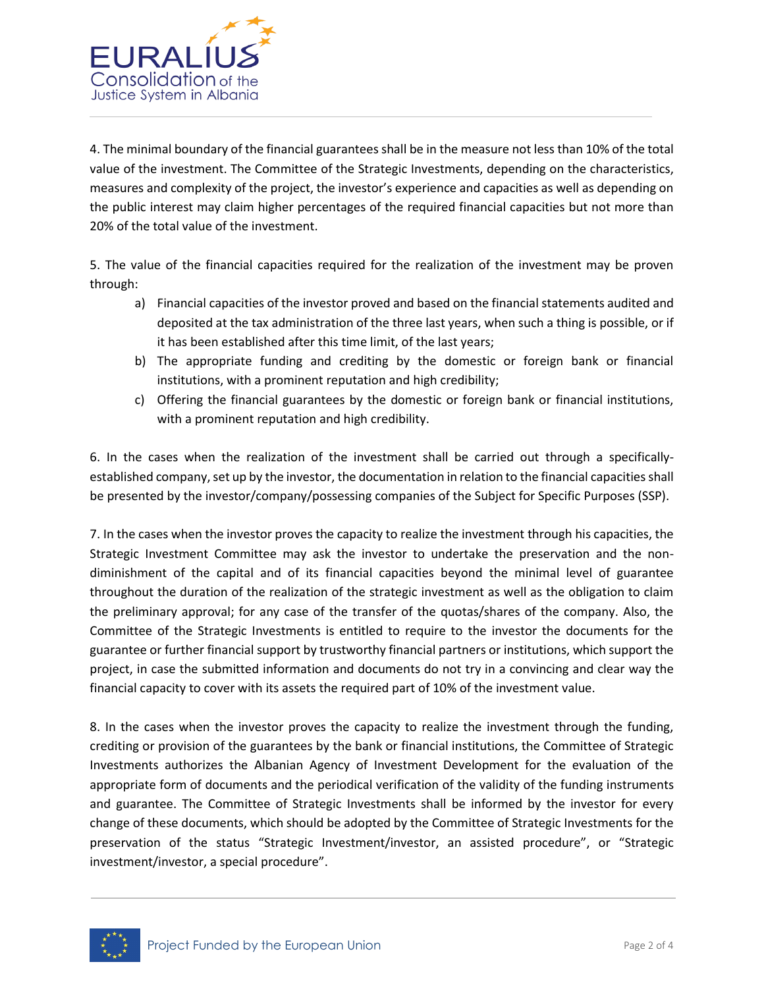

4. The minimal boundary of the financial guarantees shall be in the measure not less than 10% of the total value of the investment. The Committee of the Strategic Investments, depending on the characteristics, measures and complexity of the project, the investor's experience and capacities as well as depending on the public interest may claim higher percentages of the required financial capacities but not more than 20% of the total value of the investment.

5. The value of the financial capacities required for the realization of the investment may be proven through:

- a) Financial capacities of the investor proved and based on the financial statements audited and deposited at the tax administration of the three last years, when such a thing is possible, or if it has been established after this time limit, of the last years;
- b) The appropriate funding and crediting by the domestic or foreign bank or financial institutions, with a prominent reputation and high credibility;
- c) Offering the financial guarantees by the domestic or foreign bank or financial institutions, with a prominent reputation and high credibility.

6. In the cases when the realization of the investment shall be carried out through a specificallyestablished company, set up by the investor, the documentation in relation to the financial capacities shall be presented by the investor/company/possessing companies of the Subject for Specific Purposes (SSP).

7. In the cases when the investor proves the capacity to realize the investment through his capacities, the Strategic Investment Committee may ask the investor to undertake the preservation and the nondiminishment of the capital and of its financial capacities beyond the minimal level of guarantee throughout the duration of the realization of the strategic investment as well as the obligation to claim the preliminary approval; for any case of the transfer of the quotas/shares of the company. Also, the Committee of the Strategic Investments is entitled to require to the investor the documents for the guarantee or further financial support by trustworthy financial partners or institutions, which support the project, in case the submitted information and documents do not try in a convincing and clear way the financial capacity to cover with its assets the required part of 10% of the investment value.

8. In the cases when the investor proves the capacity to realize the investment through the funding, crediting or provision of the guarantees by the bank or financial institutions, the Committee of Strategic Investments authorizes the Albanian Agency of Investment Development for the evaluation of the appropriate form of documents and the periodical verification of the validity of the funding instruments and guarantee. The Committee of Strategic Investments shall be informed by the investor for every change of these documents, which should be adopted by the Committee of Strategic Investments for the preservation of the status "Strategic Investment/investor, an assisted procedure", or "Strategic investment/investor, a special procedure".

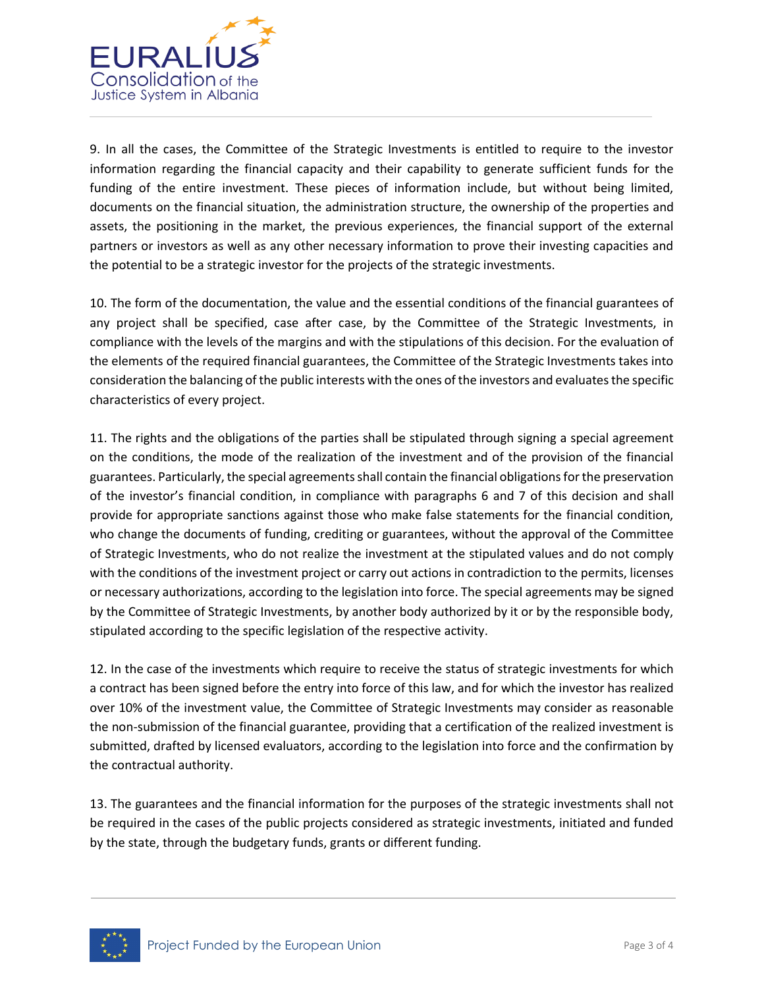

9. In all the cases, the Committee of the Strategic Investments is entitled to require to the investor information regarding the financial capacity and their capability to generate sufficient funds for the funding of the entire investment. These pieces of information include, but without being limited, documents on the financial situation, the administration structure, the ownership of the properties and assets, the positioning in the market, the previous experiences, the financial support of the external partners or investors as well as any other necessary information to prove their investing capacities and the potential to be a strategic investor for the projects of the strategic investments.

10. The form of the documentation, the value and the essential conditions of the financial guarantees of any project shall be specified, case after case, by the Committee of the Strategic Investments, in compliance with the levels of the margins and with the stipulations of this decision. For the evaluation of the elements of the required financial guarantees, the Committee of the Strategic Investments takes into consideration the balancing of the public interests with the ones of the investors and evaluates the specific characteristics of every project.

11. The rights and the obligations of the parties shall be stipulated through signing a special agreement on the conditions, the mode of the realization of the investment and of the provision of the financial guarantees. Particularly, the special agreements shall contain the financial obligations for the preservation of the investor's financial condition, in compliance with paragraphs 6 and 7 of this decision and shall provide for appropriate sanctions against those who make false statements for the financial condition, who change the documents of funding, crediting or guarantees, without the approval of the Committee of Strategic Investments, who do not realize the investment at the stipulated values and do not comply with the conditions of the investment project or carry out actions in contradiction to the permits, licenses or necessary authorizations, according to the legislation into force. The special agreements may be signed by the Committee of Strategic Investments, by another body authorized by it or by the responsible body, stipulated according to the specific legislation of the respective activity.

12. In the case of the investments which require to receive the status of strategic investments for which a contract has been signed before the entry into force of this law, and for which the investor has realized over 10% of the investment value, the Committee of Strategic Investments may consider as reasonable the non-submission of the financial guarantee, providing that a certification of the realized investment is submitted, drafted by licensed evaluators, according to the legislation into force and the confirmation by the contractual authority.

13. The guarantees and the financial information for the purposes of the strategic investments shall not be required in the cases of the public projects considered as strategic investments, initiated and funded by the state, through the budgetary funds, grants or different funding.